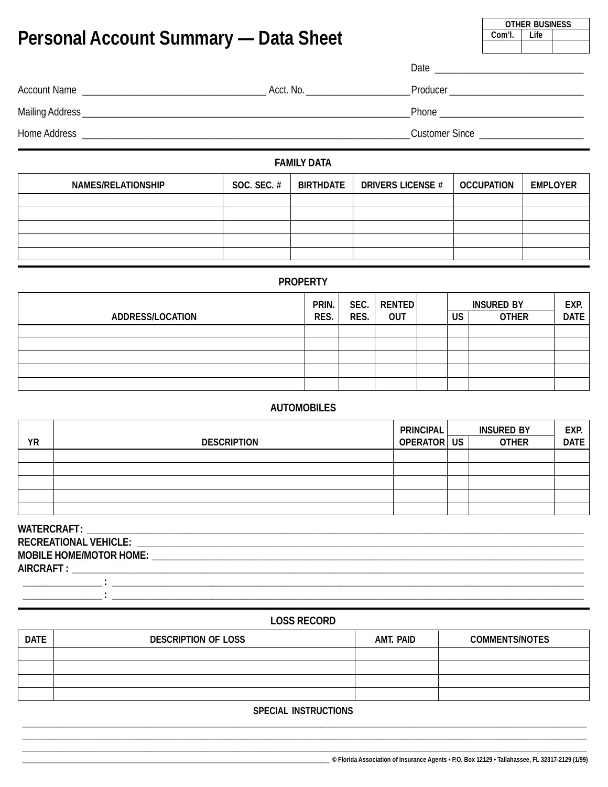| <b>Personal Account Summary — Data Sheet</b>                                                                                                                                                                                   | Com'l.             | <b>VIIILIN DUVINLUV</b><br>Life               |  |  |  |
|--------------------------------------------------------------------------------------------------------------------------------------------------------------------------------------------------------------------------------|--------------------|-----------------------------------------------|--|--|--|
|                                                                                                                                                                                                                                |                    |                                               |  |  |  |
|                                                                                                                                                                                                                                | Acct. No.          | Producer __________________________________   |  |  |  |
| Mailing Address National Accounts and the contract of the contract of the contract of the contract of the contract of the contract of the contract of the contract of the contract of the contract of the contract of the cont |                    | Phone <u>________________________________</u> |  |  |  |
|                                                                                                                                                                                                                                |                    | Customer Since <u>____________________</u>    |  |  |  |
|                                                                                                                                                                                                                                | <b>FABRUM BATA</b> |                                               |  |  |  |

#### **FAMILY DATA**

| <b>NAMES/RELATIONSHIP</b> | <b>SOC. SEC. #</b> | BIRTHDATE | <b>DRIVERS LICENSE #</b> | <b>OCCUPATION</b> | <b>EMPLOYER</b> |
|---------------------------|--------------------|-----------|--------------------------|-------------------|-----------------|
|                           |                    |           |                          |                   |                 |
|                           |                    |           |                          |                   |                 |
|                           |                    |           |                          |                   |                 |
|                           |                    |           |                          |                   |                 |
|                           |                    |           |                          |                   |                 |

## **PROPERTY**

| <b>ADDRESS/LOCATION</b> | PRIN.<br>RES. | SEC. $ $<br>RES. | RENTED<br><b>OUT</b> | US | EXP.<br>DATE |  |
|-------------------------|---------------|------------------|----------------------|----|--------------|--|
|                         |               |                  |                      |    | <b>OTHER</b> |  |
|                         |               |                  |                      |    |              |  |
|                         |               |                  |                      |    |              |  |
|                         |               |                  |                      |    |              |  |
|                         |               |                  |                      |    |              |  |

### **AUTOMOBILES**

|           |                    | <b>PRINCIPAL</b> | <b>INSURED BY</b> | EXP.        |
|-----------|--------------------|------------------|-------------------|-------------|
| <b>YR</b> | <b>DESCRIPTION</b> | OPERATOR US      | <b>OTHER</b>      | <b>DATE</b> |
|           |                    |                  |                   |             |
|           |                    |                  |                   |             |
|           |                    |                  |                   |             |
|           |                    |                  |                   |             |
|           |                    |                  |                   |             |

| <b>WATERCRAFT:</b>             |  |
|--------------------------------|--|
| <b>RECREATIONAL VEHICLE:</b>   |  |
| <b>MOBILE HOME/MOTOR HOME:</b> |  |
| <b>AIRCRAFT:</b>               |  |
|                                |  |

#### **LOSS RECORD**

| <b>DATE</b> | <b>DESCRIPTION OF LOSS</b> | <b>AMT. PAID</b> | <b>COMMENTS/NOTES</b> |
|-------------|----------------------------|------------------|-----------------------|
|             |                            |                  |                       |
|             |                            |                  |                       |
|             |                            |                  |                       |
|             |                            |                  |                       |

#### **SPECIAL INSTRUCTIONS**

**OTHER BUSINESS**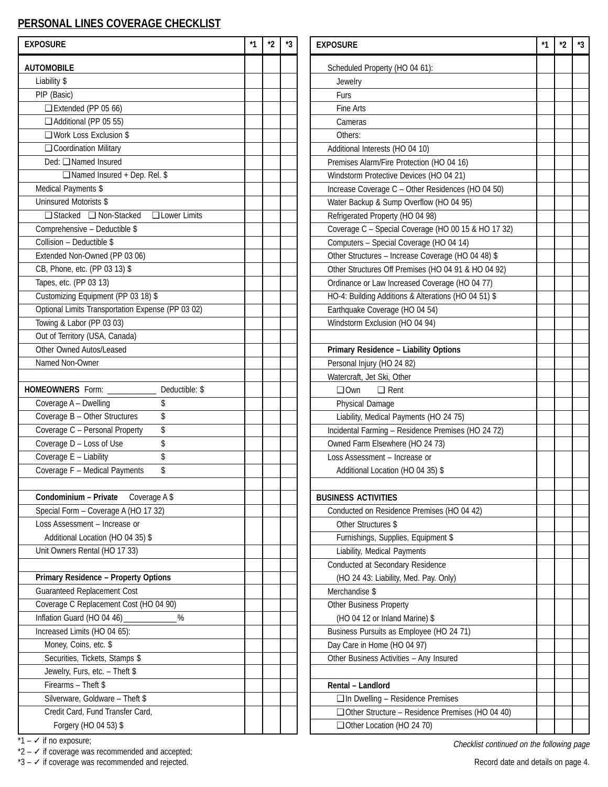# **PERSONAL LINES COVERAGE CHECKLIST**

| <b>EXPOSURE</b>                                   | *1 | $*_{2}$ | *3 | <b>EXPOSURE</b>                                        | $*1$ | $*_{2}$ | *3 |
|---------------------------------------------------|----|---------|----|--------------------------------------------------------|------|---------|----|
| <b>AUTOMOBILE</b>                                 |    |         |    | Scheduled Property (HO 04 61):                         |      |         |    |
| Liability \$                                      |    |         |    | Jewelry                                                |      |         |    |
| PIP (Basic)                                       |    |         |    | Furs                                                   |      |         |    |
| $\Box$ Extended (PP 05 66)                        |    |         |    | Fine Arts                                              |      |         |    |
| Additional (PP 05 55)                             |    |         |    | Cameras                                                |      |         |    |
| $\Box$ Work Loss Exclusion \$                     |    |         |    | Others:                                                |      |         |    |
| □ Coordination Military                           |    |         |    | Additional Interests (HO 04 10)                        |      |         |    |
| Ded: □ Named Insured                              |    |         |    | Premises Alarm/Fire Protection (HO 04 16)              |      |         |    |
| □ Named Insured + Dep. Rel. \$                    |    |         |    | Windstorm Protective Devices (HO 04 21)                |      |         |    |
| Medical Payments \$                               |    |         |    | Increase Coverage C - Other Residences (HO 04 50)      |      |         |    |
| Uninsured Motorists \$                            |    |         |    | Water Backup & Sump Overflow (HO 04 95)                |      |         |    |
| □ Stacked □ Non-Stacked □ Lower Limits            |    |         |    | Refrigerated Property (HO 04 98)                       |      |         |    |
| Comprehensive - Deductible \$                     |    |         |    | Coverage C - Special Coverage (HO 00 15 & HO 17 32)    |      |         |    |
| Collision - Deductible \$                         |    |         |    | Computers - Special Coverage (HO 04 14)                |      |         |    |
| Extended Non-Owned (PP 03 06)                     |    |         |    | Other Structures - Increase Coverage (HO 04 48) \$     |      |         |    |
| CB, Phone, etc. (PP 03 13) \$                     |    |         |    | Other Structures Off Premises (HO 04 91 & HO 04 92)    |      |         |    |
| Tapes, etc. (PP 03 13)                            |    |         |    | Ordinance or Law Increased Coverage (HO 04 77)         |      |         |    |
| Customizing Equipment (PP 03 18) \$               |    |         |    | HO-4: Building Additions & Alterations (HO 04 51) \$   |      |         |    |
| Optional Limits Transportation Expense (PP 03 02) |    |         |    |                                                        |      |         |    |
|                                                   |    |         |    | Earthquake Coverage (HO 04 54)                         |      |         |    |
| Towing & Labor (PP 03 03)                         |    |         |    | Windstorm Exclusion (HO 04 94)                         |      |         |    |
| Out of Territory (USA, Canada)                    |    |         |    |                                                        |      |         |    |
| Other Owned Autos/Leased                          |    |         |    | Primary Residence - Liability Options                  |      |         |    |
| Named Non-Owner                                   |    |         |    | Personal Injury (HO 24 82)                             |      |         |    |
|                                                   |    |         |    | Watercraft, Jet Ski, Other                             |      |         |    |
| HOMEOWNERS Form: ___________<br>Deductible: \$    |    |         |    | $\Box$ Own<br>$\Box$ Rent                              |      |         |    |
| Coverage A - Dwelling<br>\$                       |    |         |    | Physical Damage                                        |      |         |    |
| \$<br>Coverage B - Other Structures               |    |         |    | Liability, Medical Payments (HO 24 75)                 |      |         |    |
| \$<br>Coverage C - Personal Property              |    |         |    | Incidental Farming - Residence Premises (HO 24 72)     |      |         |    |
| \$<br>Coverage D - Loss of Use                    |    |         |    | Owned Farm Elsewhere (HO 24 73)                        |      |         |    |
| Coverage E - Liability<br>\$                      |    |         |    | Loss Assessment - Increase or                          |      |         |    |
| \$<br>Coverage F - Medical Payments               |    |         |    | Additional Location (HO 04 35) \$                      |      |         |    |
|                                                   |    |         |    |                                                        |      |         |    |
| <b>Condominium - Private</b> Coverage $A$ \$      |    |         |    | <b>BUSINESS ACTIVITIES</b>                             |      |         |    |
| Special Form - Coverage A (HO 17 32)              |    |         |    | Conducted on Residence Premises (HO 04 42)             |      |         |    |
| Loss Assessment - Increase or                     |    |         |    | Other Structures \$                                    |      |         |    |
| Additional Location (HO 04 35) \$                 |    |         |    | Furnishings, Supplies, Equipment \$                    |      |         |    |
| Unit Owners Rental (HO 17 33)                     |    |         |    | Liability, Medical Payments                            |      |         |    |
|                                                   |    |         |    | Conducted at Secondary Residence                       |      |         |    |
| <b>Primary Residence - Property Options</b>       |    |         |    | (HO 24 43: Liability, Med. Pay. Only)                  |      |         |    |
| <b>Guaranteed Replacement Cost</b>                |    |         |    | Merchandise \$                                         |      |         |    |
| Coverage C Replacement Cost (HO 04 90)            |    |         |    | <b>Other Business Property</b>                         |      |         |    |
| Inflation Guard (HO 04 46)<br>$\%$                |    |         |    | (HO 04 12 or Inland Marine) \$                         |      |         |    |
| Increased Limits (HO 04 65):                      |    |         |    | Business Pursuits as Employee (HO 24 71)               |      |         |    |
| Money, Coins, etc. \$                             |    |         |    | Day Care in Home (HO 04 97)                            |      |         |    |
| Securities, Tickets, Stamps \$                    |    |         |    | Other Business Activities - Any Insured                |      |         |    |
| Jewelry, Furs, etc. - Theft \$                    |    |         |    |                                                        |      |         |    |
| Firearms - Theft \$                               |    |         |    | Rental - Landlord                                      |      |         |    |
| Silverware, Goldware - Theft \$                   |    |         |    | $\Box$ In Dwelling - Residence Premises                |      |         |    |
| Credit Card, Fund Transfer Card,                  |    |         |    | $\Box$ Other Structure - Residence Premises (HO 04 40) |      |         |    |
| Forgery (HO 04 53) \$                             |    |         |    | Other Location (HO 24 70)                              |      |         |    |
|                                                   |    |         |    |                                                        |      |         |    |

 $*1 - \checkmark$  if no exposure;

 $*2 - \checkmark$  if coverage was recommended and accepted;

\*3 – ✓ if coverage was recommended and rejected. Record date and details on page 4.

Checklist continued on the following page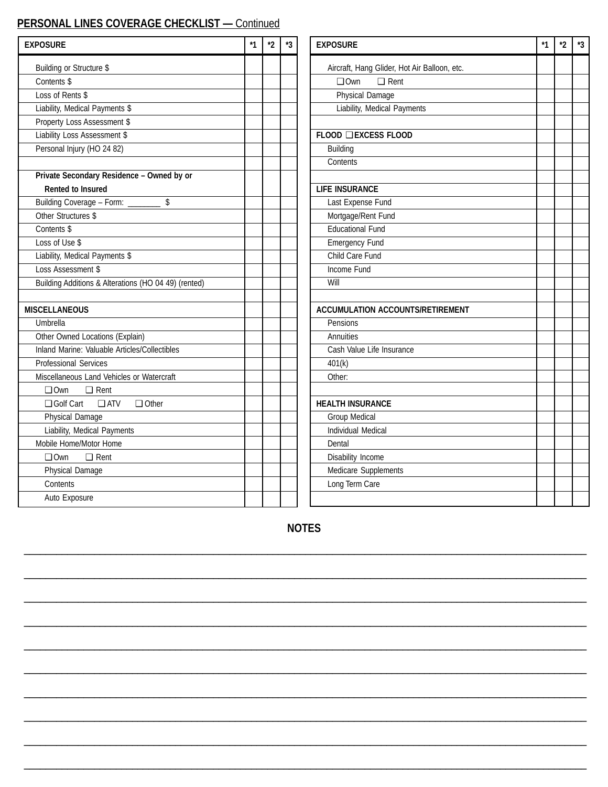# **PERSONAL LINES COVERAGE CHECKLIST —** Continued

| <b>EXPOSURE</b>                                      | *1 | $\boldsymbol{r}$ | *3 | <b>EXPOSURE</b>                              | *1 | $^{\star}2$ | *3 |
|------------------------------------------------------|----|------------------|----|----------------------------------------------|----|-------------|----|
| Building or Structure \$                             |    |                  |    | Aircraft, Hang Glider, Hot Air Balloon, etc. |    |             |    |
| Contents \$                                          |    |                  |    | $\Box$ Rent<br>$\square$ Own                 |    |             |    |
| Loss of Rents \$                                     |    |                  |    | Physical Damage                              |    |             |    |
| Liability, Medical Payments \$                       |    |                  |    | Liability, Medical Payments                  |    |             |    |
| Property Loss Assessment \$                          |    |                  |    |                                              |    |             |    |
| Liability Loss Assessment \$                         |    |                  |    | FLOOD Q EXCESS FLOOD                         |    |             |    |
| Personal Injury (HO 24 82)                           |    |                  |    | <b>Building</b>                              |    |             |    |
|                                                      |    |                  |    | Contents                                     |    |             |    |
| Private Secondary Residence - Owned by or            |    |                  |    |                                              |    |             |    |
| <b>Rented to Insured</b>                             |    |                  |    | <b>LIFE INSURANCE</b>                        |    |             |    |
| Building Coverage - Form: ___________ \$             |    |                  |    | Last Expense Fund                            |    |             |    |
| Other Structures \$                                  |    |                  |    | Mortgage/Rent Fund                           |    |             |    |
| Contents \$                                          |    |                  |    | <b>Educational Fund</b>                      |    |             |    |
| Loss of Use \$                                       |    |                  |    | Emergency Fund                               |    |             |    |
| Liability, Medical Payments \$                       |    |                  |    | Child Care Fund                              |    |             |    |
| Loss Assessment \$                                   |    |                  |    | Income Fund                                  |    |             |    |
| Building Additions & Alterations (HO 04 49) (rented) |    |                  |    | Will                                         |    |             |    |
|                                                      |    |                  |    |                                              |    |             |    |
| <b>MISCELLANEOUS</b>                                 |    |                  |    | <b>ACCUMULATION ACCOUNTS/RETIREMENT</b>      |    |             |    |
| Umbrella                                             |    |                  |    | Pensions                                     |    |             |    |
| Other Owned Locations (Explain)                      |    |                  |    | Annuities                                    |    |             |    |
| Inland Marine: Valuable Articles/Collectibles        |    |                  |    | Cash Value Life Insurance                    |    |             |    |
| <b>Professional Services</b>                         |    |                  |    | 401(k)                                       |    |             |    |
| Miscellaneous Land Vehicles or Watercraft            |    |                  |    | Other:                                       |    |             |    |
| $\Box$ Own<br>$\Box$ Rent                            |    |                  |    |                                              |    |             |    |
| $\Box$ ATV<br>$\Box$ Other<br>□ Golf Cart            |    |                  |    | <b>HEALTH INSURANCE</b>                      |    |             |    |
| <b>Physical Damage</b>                               |    |                  |    | <b>Group Medical</b>                         |    |             |    |
| Liability, Medical Payments                          |    |                  |    | <b>Individual Medical</b>                    |    |             |    |
| Mobile Home/Motor Home                               |    |                  |    | Dental                                       |    |             |    |
| $\Box$ Rent<br>$\square$ Own                         |    |                  |    | Disability Income                            |    |             |    |
| Physical Damage                                      |    |                  |    | Medicare Supplements                         |    |             |    |
| Contents                                             |    |                  |    | Long Term Care                               |    |             |    |
| Auto Exposure                                        |    |                  |    |                                              |    |             |    |
|                                                      |    |                  |    |                                              |    |             |    |

**NOTES**

\_\_\_\_\_\_\_\_\_\_\_\_\_\_\_\_\_\_\_\_\_\_\_\_\_\_\_\_\_\_\_\_\_\_\_\_\_\_\_\_\_\_\_\_\_\_\_\_\_\_\_\_\_\_\_\_\_\_\_\_\_\_\_\_\_\_\_\_\_\_\_\_\_\_\_\_\_\_\_\_\_\_\_\_\_\_\_\_\_\_\_\_\_\_\_\_\_\_\_\_\_\_\_\_

\_\_\_\_\_\_\_\_\_\_\_\_\_\_\_\_\_\_\_\_\_\_\_\_\_\_\_\_\_\_\_\_\_\_\_\_\_\_\_\_\_\_\_\_\_\_\_\_\_\_\_\_\_\_\_\_\_\_\_\_\_\_\_\_\_\_\_\_\_\_\_\_\_\_\_\_\_\_\_\_\_\_\_\_\_\_\_\_\_\_\_\_\_\_\_\_\_\_\_\_\_\_\_\_

\_\_\_\_\_\_\_\_\_\_\_\_\_\_\_\_\_\_\_\_\_\_\_\_\_\_\_\_\_\_\_\_\_\_\_\_\_\_\_\_\_\_\_\_\_\_\_\_\_\_\_\_\_\_\_\_\_\_\_\_\_\_\_\_\_\_\_\_\_\_\_\_\_\_\_\_\_\_\_\_\_\_\_\_\_\_\_\_\_\_\_\_\_\_\_\_\_\_\_\_\_\_\_\_

\_\_\_\_\_\_\_\_\_\_\_\_\_\_\_\_\_\_\_\_\_\_\_\_\_\_\_\_\_\_\_\_\_\_\_\_\_\_\_\_\_\_\_\_\_\_\_\_\_\_\_\_\_\_\_\_\_\_\_\_\_\_\_\_\_\_\_\_\_\_\_\_\_\_\_\_\_\_\_\_\_\_\_\_\_\_\_\_\_\_\_\_\_\_\_\_\_\_\_\_\_\_\_\_

\_\_\_\_\_\_\_\_\_\_\_\_\_\_\_\_\_\_\_\_\_\_\_\_\_\_\_\_\_\_\_\_\_\_\_\_\_\_\_\_\_\_\_\_\_\_\_\_\_\_\_\_\_\_\_\_\_\_\_\_\_\_\_\_\_\_\_\_\_\_\_\_\_\_\_\_\_\_\_\_\_\_\_\_\_\_\_\_\_\_\_\_\_\_\_\_\_\_\_\_\_\_\_\_

\_\_\_\_\_\_\_\_\_\_\_\_\_\_\_\_\_\_\_\_\_\_\_\_\_\_\_\_\_\_\_\_\_\_\_\_\_\_\_\_\_\_\_\_\_\_\_\_\_\_\_\_\_\_\_\_\_\_\_\_\_\_\_\_\_\_\_\_\_\_\_\_\_\_\_\_\_\_\_\_\_\_\_\_\_\_\_\_\_\_\_\_\_\_\_\_\_\_\_\_\_\_\_\_

\_\_\_\_\_\_\_\_\_\_\_\_\_\_\_\_\_\_\_\_\_\_\_\_\_\_\_\_\_\_\_\_\_\_\_\_\_\_\_\_\_\_\_\_\_\_\_\_\_\_\_\_\_\_\_\_\_\_\_\_\_\_\_\_\_\_\_\_\_\_\_\_\_\_\_\_\_\_\_\_\_\_\_\_\_\_\_\_\_\_\_\_\_\_\_\_\_\_\_\_\_\_\_\_

\_\_\_\_\_\_\_\_\_\_\_\_\_\_\_\_\_\_\_\_\_\_\_\_\_\_\_\_\_\_\_\_\_\_\_\_\_\_\_\_\_\_\_\_\_\_\_\_\_\_\_\_\_\_\_\_\_\_\_\_\_\_\_\_\_\_\_\_\_\_\_\_\_\_\_\_\_\_\_\_\_\_\_\_\_\_\_\_\_\_\_\_\_\_\_\_\_\_\_\_\_\_\_\_

\_\_\_\_\_\_\_\_\_\_\_\_\_\_\_\_\_\_\_\_\_\_\_\_\_\_\_\_\_\_\_\_\_\_\_\_\_\_\_\_\_\_\_\_\_\_\_\_\_\_\_\_\_\_\_\_\_\_\_\_\_\_\_\_\_\_\_\_\_\_\_\_\_\_\_\_\_\_\_\_\_\_\_\_\_\_\_\_\_\_\_\_\_\_\_\_\_\_\_\_\_\_\_\_

\_\_\_\_\_\_\_\_\_\_\_\_\_\_\_\_\_\_\_\_\_\_\_\_\_\_\_\_\_\_\_\_\_\_\_\_\_\_\_\_\_\_\_\_\_\_\_\_\_\_\_\_\_\_\_\_\_\_\_\_\_\_\_\_\_\_\_\_\_\_\_\_\_\_\_\_\_\_\_\_\_\_\_\_\_\_\_\_\_\_\_\_\_\_\_\_\_\_\_\_\_\_\_\_